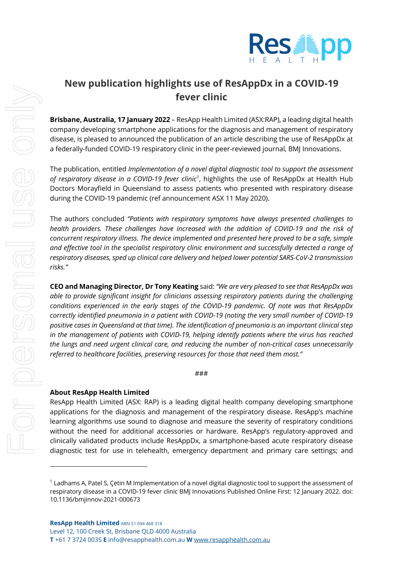

## **New publication highlights use of ResAppDx in a COVID-19 fever clinic**

**Brisbane, Australia, 17 January 2022** – ResApp Health Limited (ASX:RAP), a leading digital health company developing smartphone applications for the diagnosis and management of respiratory disease, is pleased to announced the publication of an article describing the use of ResAppDx at a federally-funded COVID-19 respiratory clinic in the peer-reviewed journal, BMJ Innovations.

The publication, entitled *Implementation of a novel digital diagnostic tool to support the assessment*  of respiratory disease in a COVID-19 fever clinic<sup>1</sup>, highlights the use of ResAppDx at Health Hub Doctors Morayfield in Queensland to assess patients who presented with respiratory disease during the COVID-19 pandemic (ref announcement ASX 11 May 2020).

The authors concluded *"Patients with respiratory symptoms have always presented challenges to health providers. These challenges have increased with the addition of COVID-19 and the risk of concurrent respiratory illness. The device implemented and presented here proved to be a safe, simple and effective tool in the specialist respiratory clinic environment and successfully detected a range of respiratory diseases, sped up clinical care delivery and helped lower potential SARS-CoV-2 transmission risks."*

**CEO and Managing Director, Dr Tony Keating** said: *"We are very pleased to see that ResAppDx was able to provide significant insight for clinicians assessing respiratory patients during the challenging conditions experienced in the early stages of the COVID-19 pandemic. Of note was that ResAppDx correctly identified pneumonia in a patient with COVID-19 (noting the very small number of COVID-19 positive cases in Queensland at that time). The identification of pneumonia is an important clinical step in the management of patients with COVID-19, helping identify patients where the virus has reached the lungs and need urgent clinical care, and reducing the number of non-critical cases unnecessarily referred to healthcare facilities, preserving resources for those that need them most."* 

## ###

## **About ResApp Health Limited**

ResApp Health Limited (ASX: RAP) is a leading digital health company developing smartphone applications for the diagnosis and management of the respiratory disease. ResApp's machine learning algorithms use sound to diagnose and measure the severity of respiratory conditions without the need for additional accessories or hardware. ResApp's regulatory-approved and clinically validated products include ResAppDx, a smartphone-based acute respiratory disease diagnostic test for use in telehealth, emergency department and primary care settings; and

 $1$  Ladhams A, Patel S, Cetin M Implementation of a novel digital diagnostic tool to support the assessment of respiratory disease in a COVID-19 fever clinic BMJ Innovations Published Online First: 12 January 2022. doi: 10.1136/bmjinnov-2021-000673